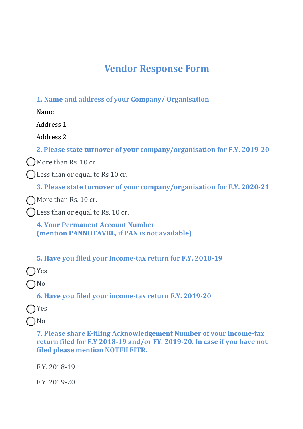## **Vendor Response Form**

**1. Name and address of your Company/ Organisation**

Name

Address 1

Address 2

**2. Please state turnover of your company/organisation for F.Y. 2019-20**

More than Rs. 10 cr.

Less than or equal to Rs 10 cr.

**3. Please state turnover of your company/organisation for F.Y. 2020-21**

More than Rs. 10 cr.

Less than or equal to Rs. 10 cr.

**4. Your Permanent Account Number (mention PANNOTAVBL, if PAN is not available)**

**5. Have you filed your income-tax return for F.Y. 2018-19**

Yes

No

**6. Have you filed your income-tax return F.Y. 2019-20**

Yes

No

**7. Please share E-filing Acknowledgement Number of your income-tax return filed for F.Y 2018-19 and/or FY. 2019-20. In case if you have not filed please mention NOTFILEITR.**

F.Y. 2018-19

F.Y. 2019-20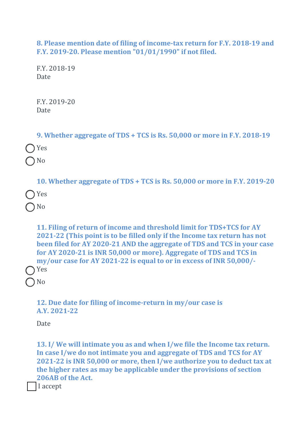**8. Please mention date of filing of income-tax return for F.Y. 2018-19 and F.Y. 2019-20. Please mention "01/01/1990" if not filed.**

F.Y. 2018-19 Date

F.Y. 2019-20 **Date** 

| 9. Whether aggregate of TDS + TCS is Rs. 50,000 or more in F.Y. 2018-19  |
|--------------------------------------------------------------------------|
| $\bigcap$ Yes                                                            |
| $\bigcap$ No                                                             |
| 10. Whether aggregate of TDS + TCS is Rs. 50,000 or more in F.Y. 2019-20 |
| $\bigcap$ Yes                                                            |

No

**11. Filing of return of income and threshold limit for TDS+TCS for AY 2021-22 (This point is to be filled only if the Income tax return has not been filed for AY 2020-21 AND the aggregate of TDS and TCS in your case for AY 2020-21 is INR 50,000 or more). Aggregate of TDS and TCS in my/our case for AY 2021-22 is equal to or in excess of INR 50,000/-** Yes

No

**12. Due date for filing of income-return in my/our case is A.Y. 2021-22**

Date

**13. I/ We will intimate you as and when I/we file the Income tax return. In case I/we do not intimate you and aggregate of TDS and TCS for AY 2021-22 is INR 50,000 or more, then I/we authorize you to deduct tax at the higher rates as may be applicable under the provisions of section 206AB of the Act.**

I accept